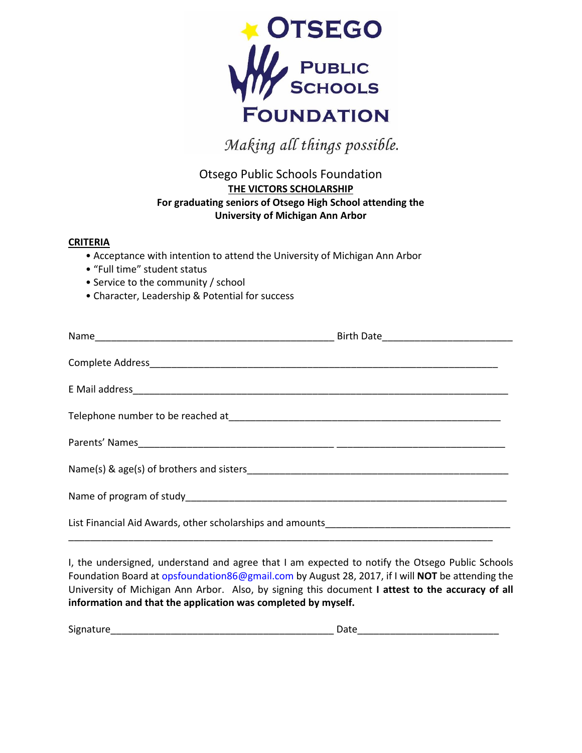

Making all things possible.

## Otsego Public Schools Foundation **THE VICTORS SCHOLARSHIP For graduating seniors of Otsego High School attending the University of Michigan Ann Arbor**

## **CRITERIA**

- Acceptance with intention to attend the University of Michigan Ann Arbor
- "Full time" student status
- Service to the community / school
- Character, Leadership & Potential for success

I, the undersigned, understand and agree that I am expected to notify the Otsego Public Schools Foundation Board at [opsfoundation8](mailto:opsf_86@hotmail.com)6@gmail.com by August 28, 2017, if I will **NOT** be attending the University of Michigan Ann Arbor. Also, by signing this document **I attest to the accuracy of all information and that the application was completed by myself.**

| <b></b><br>Sign |  |
|-----------------|--|
|-----------------|--|